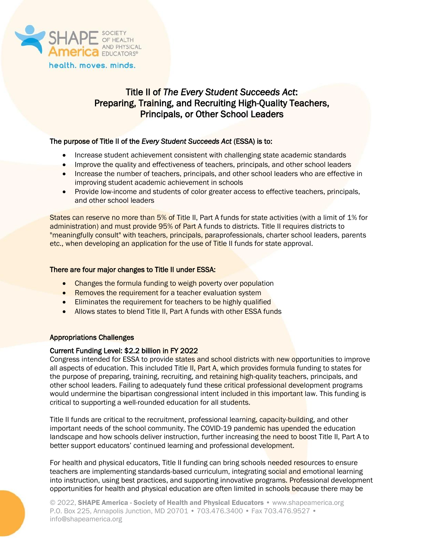

# Title II of *The Every Student Succeeds Act*: Preparing, Training, and Recruiting High-Quality Teachers, Principals, or Other School Leaders

# The purpose of Title II of the *Every Student Succeeds Act* (ESSA) is to:

- Increase student achievement consistent with challenging state academic standards
- Improve the quality and effectiveness of teachers, principals, and other school leaders
- Increase the number of teachers, principals, and other school leaders who are effective in improving student academic achievement in schools
- Provide low-income and students of color greater access to effective teachers, principals, and other school leaders

States can reserve no more than 5% of Title II, Part A funds for state activities (with a limit of 1% for administration) and must provide 95% of Part A funds to districts. Title II requires districts to "meaningfully consult" with teachers, principals, paraprofessionals, charter school leaders, parents etc., when developing an application for the use of Title II funds for state approval.

# There are four major changes to Title II under ESSA:

- Changes the formula funding to weigh poverty over population
- Removes the requirement for a teacher evaluation system
- Eliminates the requirement for teachers to be highly qualified
- Allows states to blend Title II, Part A funds with other ESSA funds

### Appropriations Challenges

### Current Funding Level: \$2.2 billion in FY 2022

Congress intended for ESSA to provide states and school districts with new opportunities to improve all aspects of education. This included Title II, Part A, which provides formula funding to states for the purpose of preparing, training, recruiting, and retaining high-quality teachers, principals, and other school leaders. Failing to adequately fund these critical professional development programs would undermine the bipartisan congressional intent included in this important law. This funding is critical to supporting a well-rounded education for all students.

Title II funds are critical to the recruitment, professional learning, capacity-building, and other important needs of the school community. The COVID-19 pandemic has upended the education landscape and how schools deliver instruction, further increasing the need to boost Title II, Part A to better support educators' continued learning and professional development.

For health and physical educators, Title II funding can bring schools needed resources to ensure teachers are implementing standards-based curriculum, integrating social and emotional learning into instruction, using best practices, and supporting innovative programs. Professional development opportunities for health and physical education are often limited in schools because there may be

© 2022, SHAPE America - Society of Health and Physical Educators • www.shapeamerica.org P.O. Box 225, Annapolis Junction, MD 20701 • 703.476.3400 • Fax 703.476.9527 • info@shapeamerica.org